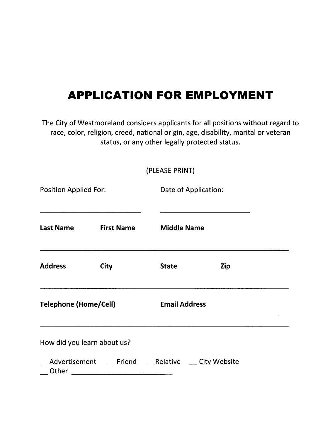## **APPLICATION FOR EMPLOYMENT**

The City of Westmoreland considers applicants for all positions without regard to race, color, religion, creed, national origin, age, disability, marital or veteran status, or any other legally protected status.

(PLEASEPRINT)

| <b>Position Applied For:</b> |                   | Date of Application:                                                                                            |     |
|------------------------------|-------------------|-----------------------------------------------------------------------------------------------------------------|-----|
| <b>Last Name</b>             | <b>First Name</b> | the control of the control of the control of the control of the control of the control of<br><b>Middle Name</b> |     |
| <b>Address</b>               | City              | <b>State</b>                                                                                                    | Zip |
| <b>Telephone (Home/Cell)</b> |                   | <b>Email Address</b>                                                                                            |     |
| How did you learn about us?  |                   |                                                                                                                 |     |
|                              |                   | Advertisement Friend Relative City Website                                                                      |     |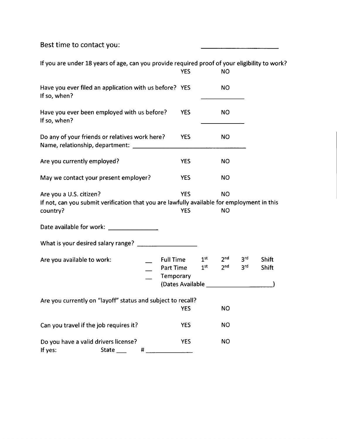Best time to contact you:

If you are under 18 years of age, can you provide required proof of your eligibility to work? YES NO Have you ever filed an application with us before? YES NO If so, when? Have you ever been employed with us before? YES NO If so, when? Do any of your friends or relatives work here? YES NO Name, relationship, department: \_ Are you currently employed? The YES NO May we contact your present employer? YES NO Are you a U.S. citizen? The Manus of the YES NO If not, can you submit verification that you are lawfully available for employment in this country? YES NO Date available for work: **where**  $\blacksquare$ What is your desired salary range?  $1<sup>st</sup>$  $2<sup>nd</sup>$  $3<sup>rd</sup>$ Are you available to work: Full Time **Shift**  $1<sup>st</sup>$  $2<sup>nd</sup>$  $3<sup>rd</sup>$ **Shift** Part Time **Temporary** (DatesAvailable \_ Are you currently on "layoff" status and subject to recall? YES NO Canyou travel if the job requires it? YES NO Do you have a valid drivers license? YES NOIf yes: State \_\_\_ #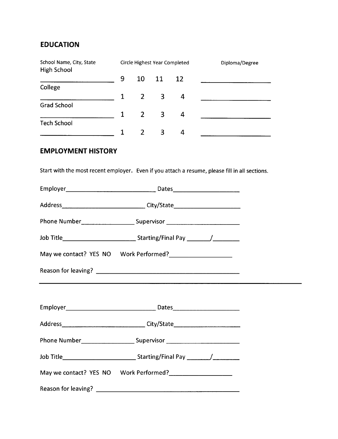## **EDUCATION**

| School Name, City, State<br><b>High School</b> |              |    |             | Circle Highest Year Completed | Diploma/Degree |
|------------------------------------------------|--------------|----|-------------|-------------------------------|----------------|
|                                                | 9            | 10 | 11 12       |                               |                |
| College                                        |              |    |             |                               |                |
|                                                |              |    | $2 \quad 3$ | 4                             |                |
| <b>Grad School</b>                             |              |    |             |                               |                |
|                                                | $\mathbf{1}$ |    | $2 \quad 3$ | 4                             |                |
| <b>Tech School</b>                             |              |    |             |                               |                |
|                                                |              |    | 3           | 4                             |                |

## **EMPLOYMENT HISTORY**

Start with the most recent employer. Even if you attach a resume, please fill in all sections.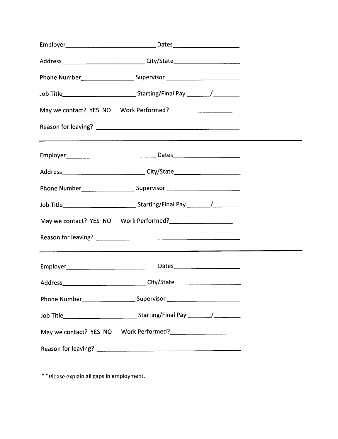| Phone Number__________________________________Supervisor _______________________   |  |
|------------------------------------------------------------------------------------|--|
| Job Title__________________________________Starting/Final Pay __________/_________ |  |
|                                                                                    |  |
|                                                                                    |  |
|                                                                                    |  |
| Address_________________________________City/State______________________________   |  |
|                                                                                    |  |
|                                                                                    |  |
|                                                                                    |  |
|                                                                                    |  |
|                                                                                    |  |
|                                                                                    |  |
|                                                                                    |  |
|                                                                                    |  |
|                                                                                    |  |
|                                                                                    |  |

\*\*Please explain all gaps in employment.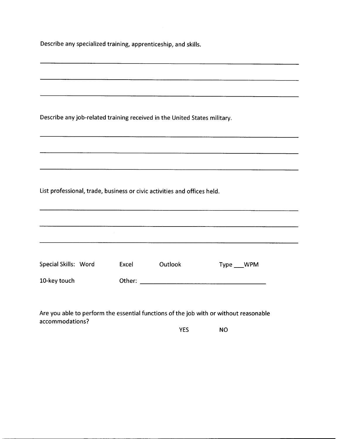|  |  |  | Describe any specialized training, apprenticeship, and skills. |  |  |
|--|--|--|----------------------------------------------------------------|--|--|
|--|--|--|----------------------------------------------------------------|--|--|

| the contract of the contract of the contract of the contract of the contract of |       |                                                                                                                        |              |
|---------------------------------------------------------------------------------|-------|------------------------------------------------------------------------------------------------------------------------|--------------|
| Describe any job-related training received in the United States military.       |       |                                                                                                                        |              |
|                                                                                 |       |                                                                                                                        |              |
|                                                                                 |       |                                                                                                                        |              |
| List professional, trade, business or civic activities and offices held.        |       |                                                                                                                        |              |
|                                                                                 |       |                                                                                                                        |              |
|                                                                                 |       | <u> 1980 - An Aonaichte ann an Comhair ann an Comhair ann an Comhair ann an Comhair ann an Comhair ann an Comhair </u> |              |
| Special Skills: Word                                                            | Excel | Outlook                                                                                                                | Type ___ WPM |
| 10-key touch                                                                    |       |                                                                                                                        |              |
|                                                                                 |       |                                                                                                                        |              |

Are you able to perform the essential functions of the job with or without reasonable accommodations?

YES NO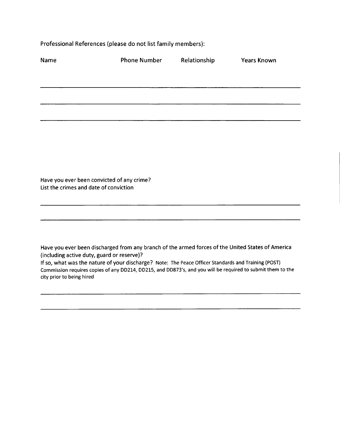Professional References (please do not list family members):

| Name                                       | <b>Phone Number</b>                                                                                                                                                                                                | Relationship | <b>Years Known</b> |
|--------------------------------------------|--------------------------------------------------------------------------------------------------------------------------------------------------------------------------------------------------------------------|--------------|--------------------|
|                                            |                                                                                                                                                                                                                    |              |                    |
|                                            |                                                                                                                                                                                                                    |              |                    |
|                                            |                                                                                                                                                                                                                    |              |                    |
|                                            |                                                                                                                                                                                                                    |              |                    |
|                                            |                                                                                                                                                                                                                    |              |                    |
|                                            |                                                                                                                                                                                                                    |              |                    |
| List the crimes and date of conviction     | Have you ever been convicted of any crime?                                                                                                                                                                         |              |                    |
|                                            |                                                                                                                                                                                                                    |              |                    |
|                                            |                                                                                                                                                                                                                    |              |                    |
| (including active duty, guard or reserve)? | Have you ever been discharged from any branch of the armed forces of the United States of America                                                                                                                  |              |                    |
| city prior to being hired                  | If so, what was the nature of your discharge? Note: The Peace Officer Standards and Training (POST)<br>Commission requires copies of any DD214, DD215, and DD873's, and you will be required to submit them to the |              |                    |
|                                            |                                                                                                                                                                                                                    |              |                    |